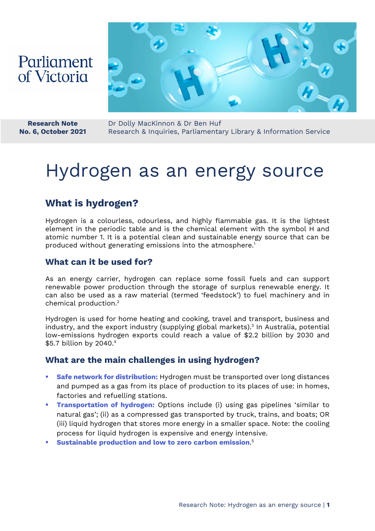## Parliament of Victoria



**Research Note No. 6, October 2021** Dr Dolly MacKinnon & Dr Ben Huf Research & Inquiries, Parliamentary Library & Information Service

# Hydrogen as an energy source

## **What is hydrogen?**

Hydrogen is a colourless, odourless, and highly flammable gas. It is the lightest element in the periodic table and is the chemical element with the symbol H and atomic number 1. It is a potential clean and sustainable energy source that can be produced without generating emissions into the atmosphere.<sup>1</sup>

## **What can it be used for?**

As an energy carrier, hydrogen can replace some fossil fuels and can support renewable power production through the storage of surplus renewable energy. It can also be used as a raw material (termed 'feedstock') to fuel machinery and in chemical production.2

Hydrogen is used for home heating and cooking, travel and transport, business and industry, and the export industry (supplying global markets).3 In Australia, potential low-emissions hydrogen exports could reach a value of \$2.2 billion by 2030 and \$5.7 billion by 2040.<sup>4</sup>

## **What are the main challenges in using hydrogen?**

- **Safe network for distribution:** Hydrogen must be transported over long distances and pumped as a gas from its place of production to its places of use: in homes, factories and refuelling stations.
- **Transportation of hydrogen:** Options include (i) using gas pipelines 'similar to natural gas'; (ii) as a compressed gas transported by truck, trains, and boats; OR (iii) liquid hydrogen that stores more energy in a smaller space. Note: the cooling process for liquid hydrogen is expensive and energy intensive.
- **Sustainable production and low to zero carbon emission**. 5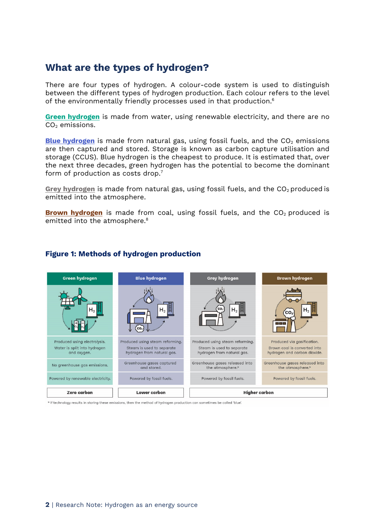## **What are the types of hydrogen?**

There are four types of hydrogen. A colour-code system is used to distinguish between the different types of hydrogen production. Each colour refers to the level of the environmentally friendly processes used in that production.<sup>6</sup>

**Green hydrogen** is made from water, using renewable electricity, and there are no  $CO<sub>2</sub>$  emissions.

**Blue hydrogen** is made from natural gas, using fossil fuels, and the CO<sub>2</sub> emissions are then captured and stored. Storage is known as carbon capture utilisation and storage (CCUS). Blue hydrogen is the cheapest to produce. It is estimated that, over the next three decades, green hydrogen has the potential to become the dominant form of production as costs drop.<sup>7</sup>

**Grey hydrogen** is made from natural gas, using fossil fuels, and the CO<sub>2</sub> produced is emitted into the atmosphere.

**Brown hydrogen** is made from coal, using fossil fuels, and the CO<sub>2</sub> produced is emitted into the atmosphere.<sup>8</sup>



#### **Figure 1: Methods of hydrogen production**

\* If technology results in storing these emissions, then the method of hydrogen production can sometimes be called 'blue'.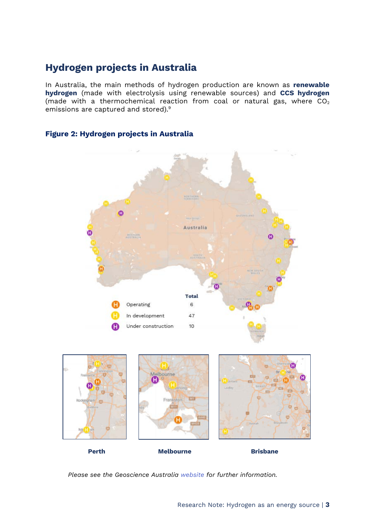## **Hydrogen projects in Australia**

In Australia, the main methods of hydrogen production are known as **renewable hydrogen** (made with electrolysis using renewable sources) and **CCS hydrogen** (made with a thermochemical reaction from coal or natural gas, where  $CO<sub>2</sub>$ emissions are captured and stored).<sup>9</sup>



#### **Figure 2: Hydrogen projects in Australia**

*Please see the Geoscience Australia [website](https://portal.ga.gov.au/persona/hydrogen) for further information.*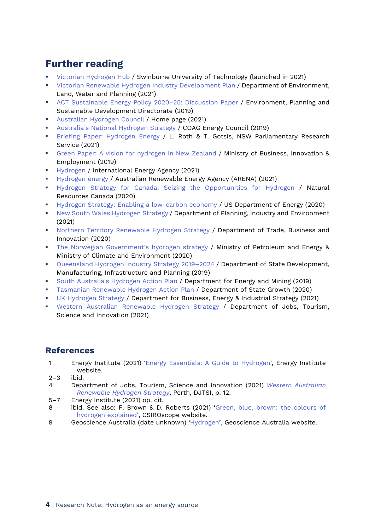## **Further reading**

- [Victorian Hydrogen Hub](https://www.swinburne.edu.au/research/platforms-initiatives/victorian-hydrogen-hub) / Swinburne University of Technology (launched in 2021)
- **EXECT:** [Victorian Renewable Hydrogen Industry Development Plan](https://www.energy.vic.gov.au/__data/assets/pdf_file/0021/513345/Victorian-Renewable-Hydrogen-Industry-Development-Plan.pdf) / Department of Environment, Land, Water and Planning (2021)
- [ACT Sustainable Energy Policy 2020–25: Discussion Paper](https://www.environment.act.gov.au/__data/assets/pdf_file/0007/1411567/act-sustainable-energy-policy-discussion-paper.pdf) / Environment, Planning and Sustainable Development Directorate (2019)
- [Australian Hydrogen Council](https://h2council.com.au/) / Home page (2021)
- [Australia's National Hydrogen Strategy](https://www.industry.gov.au/sites/default/files/2019-11/australias-national-hydrogen-strategy.pdf) / COAG Energy Council (2019)
- [Briefing Paper: Hydrogen Energy](https://www.parliament.nsw.gov.au/researchpapers/Documents/Hydrogen%20energy.pdf) / L. Roth & T. Gotsis, NSW Parliamentary Research Service (2021)
- [Green Paper: A vision for hydrogen in New Zealand](https://www.mbie.govt.nz/assets/a-vision-for-hydrogen-in-new-zealand-green-paper.pdf) / Ministry of Business, Innovation & Employment (2019)
- **[Hydrogen](https://www.iea.org/fuels-and-technologies/hydrogen) / International Energy Agency (2021)**
- [Hydrogen energy](https://arena.gov.au/renewable-energy/hydrogen/) / Australian Renewable Energy Agency (ARENA) (2021)
- [Hydrogen Strategy for Canada: Seizing the Opportunities for Hydrogen](https://www.nrcan.gc.ca/sites/nrcan/files/environment/hydrogen/NRCan_Hydrogen%20Strategy%20for%20Canada%20Dec%2015%202200%20clean_low_accessible.pdf) / Natural Resources Canada (2020)
- **[Hydrogen Strategy: Enabling a low-carbon economy](https://www.energy.gov/sites/prod/files/2020/07/f76/USDOE_FE_Hydrogen_Strategy_July2020.pdf) / US Department of Energy (2020)**
- [New South Wales Hydrogen Strategy](https://www.energy.nsw.gov.au/sites/default/files/2021-10/GOVP1334_DPIE_NSW_Hydrogen_strategy_FA3%5B2%5D_0.pdf) / Department of Planning, Industry and Environment (2021)
- **[Northern Territory Renewable Hydrogen Strategy](https://industry.nt.gov.au/__data/assets/pdf_file/0014/905000/nt-renewable-hydrogen-strategy.pdf) / Department of Trade, Business and** Innovation (2020)
- [The Norwegian Government's hydrogen strategy](https://www.regjeringen.no/contentassets/8ffd54808d7e42e8bce81340b13b6b7d/hydrogenstrategien-engelsk.pdf) / Ministry of Petroleum and Energy & Ministry of Climate and Environment (2020)
- [Queensland Hydrogen Industry Strategy 2019–2024](https://www.statedevelopment.qld.gov.au/__data/assets/pdf_file/0018/12195/queensland-hydrogen-strategy.pdf) / Department of State Development, Manufacturing, Infrastructure and Planning (2019)
- [South Australia's Hydrogen Action Plan](http://www.renewablessa.sa.gov.au/content/uploads/2019/09/south-australias-hydrogen-action-plan-online.pdf) / Department for Energy and Mining (2019)
- [Tasmanian Renewable Hydrogen Action Plan](https://renewablestasmania.tas.gov.au/__data/assets/pdf_file/0004/274693/Tasmanian_Renewable_Hydrogen_Action_Plan_web_27_March_2020.pdf) / Department of State Growth (2020)
- [UK Hydrogen Strategy](https://assets.publishing.service.gov.uk/government/uploads/system/uploads/attachment_data/file/1011283/UK-Hydrogen-Strategy_web.pdf) / Department for Business, Energy & Industrial Strategy (2021)
- **[Western Australian Renewable Hydrogen Strategy](https://www.wa.gov.au/sites/default/files/2021-01/WA_Renewable_Hydrogen_Strategy_2021_Update.pdf) / Department of Jobs, Tourism,** Science and Innovation (2021)

## **References**

- 1 Energy Institute (2021) ['Energy Essentials: A Guide to](https://knowledge.energyinst.org/collections/hydrogen) Hydrogen', Energy Institute website.
- 2–3 ibid.
- 4 Department of Jobs, Tourism, Science and Innovation (2021) *[Western Australian](https://www.wa.gov.au/sites/default/files/2021-01/WA_Renewable_Hydrogen_Strategy_2021_Update.pdf)  [Renewable Hydrogen Strategy](https://www.wa.gov.au/sites/default/files/2021-01/WA_Renewable_Hydrogen_Strategy_2021_Update.pdf)*, Perth, DJTSI, p. 12.
- 5–7 Energy Institute (2021) op. cit.
- 8 ibid. See also: F. Brown & D. Roberts (2021) ['Green, blue, brown: the colours of](https://blog.csiro.au/green-blue-brown-hydrogen-explained/)  [hydrogen explained',](https://blog.csiro.au/green-blue-brown-hydrogen-explained/) CSIROscope website.
- 9 Geoscience Australia (date unknown) ['Hydrogen'](https://www.ga.gov.au/scientific-topics/energy/resources/hydrogen), Geoscience Australia website.